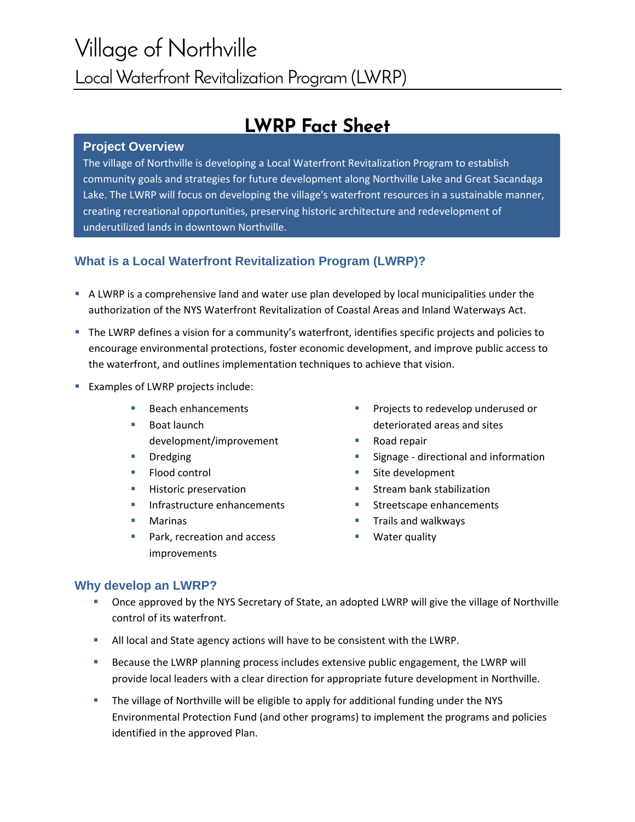# Village of Northville Local Waterfront Revitalization Program (LWRP)

## **LWRP Fact Sheet**

#### **Project Overview**

The village of Northville is developing a Local Waterfront Revitalization Program to establish community goals and strategies for future development along Northville Lake and Great Sacandaga Lake. The LWRP will focus on developing the village's waterfront resources in a sustainable manner, creating recreational opportunities, preserving historic architecture and redevelopment of underutilized lands in downtown Northville.

### **What is a Local Waterfront Revitalization Program (LWRP)?**

- A LWRP is a comprehensive land and water use plan developed by local municipalities under the authorization of the NYS Waterfront Revitalization of Coastal Areas and Inland Waterways Act.
- The LWRP defines a vision for a community's waterfront, identifies specific projects and policies to encourage environmental protections, foster economic development, and improve public access to the waterfront, and outlines implementation techniques to achieve that vision.
- Examples of LWRP projects include:
	- **Beach enhancements**
	- Boat launch development/improvement
	- **Dredging**
	- Flood control
	- **Historic preservation**
	- **Infrastructure enhancements**
	- **Marinas**
	- Park, recreation and access improvements
- **Projects to redevelop underused or** deteriorated areas and sites
- Road repair
- Signage directional and information
- **Site development**
- **Stream bank stabilization**
- **Streetscape enhancements**
- Trails and walkways
- Water quality

### **Why develop an LWRP?**

- Once approved by the NYS Secretary of State, an adopted LWRP will give the village of Northville control of its waterfront.
- All local and State agency actions will have to be consistent with the LWRP.
- **Because the LWRP planning process includes extensive public engagement, the LWRP will** provide local leaders with a clear direction for appropriate future development in Northville.
- **The village of Northville will be eligible to apply for additional funding under the NYS** Environmental Protection Fund (and other programs) to implement the programs and policies identified in the approved Plan.